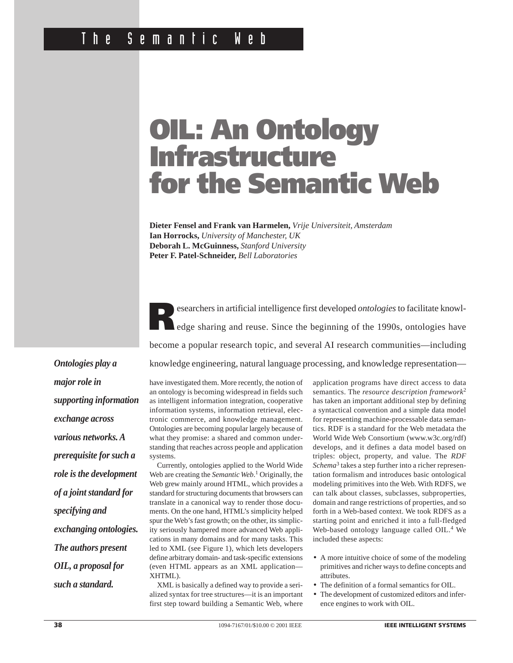# **OIL: An Ontology Infrastructure for the Semantic Web**

**Dieter Fensel and Frank van Harmelen,** *Vrije Universiteit, Amsterdam* **Ian Horrocks,** *University of Manchester, UK* **Deborah L. McGuinness,** *Stanford University* **Peter F. Patel-Schneider,** *Bell Laboratories*

**Researchers in artificial intelligence first developed** *ontologies* **to facilitate knowledge sharing and reuse. Since the beginning of the 1990s, ontologies have** become a popular research topic, and several AI research communities—including knowledge engineering, natural language processing, and knowledge representation—

*Ontologies play a major role in supporting information exchange across various networks. A prerequisite for such a role is the development of a joint standard for specifying and exchanging ontologies. The authors present OIL, a proposal for such a standard.* 

have investigated them. More recently, the notion of an ontology is becoming widespread in fields such as intelligent information integration, cooperative information systems, information retrieval, electronic commerce, and knowledge management. Ontologies are becoming popular largely because of what they promise: a shared and common understanding that reaches across people and application systems.

Currently, ontologies applied to the World Wide Web are creating the *Semantic Web*. <sup>1</sup> Originally, the Web grew mainly around HTML, which provides a standard for structuring documents that browsers can translate in a canonical way to render those documents. On the one hand, HTML's simplicity helped spur the Web's fast growth; on the other, its simplicity seriously hampered more advanced Web applications in many domains and for many tasks. This led to XML (see Figure 1), which lets developers define arbitrary domain- and task-specific extensions (even HTML appears as an XML application— XHTML).

XML is basically a defined way to provide a serialized syntax for tree structures—it is an important first step toward building a Semantic Web, where application programs have direct access to data semantics. The *resource description framework*<sup>2</sup> has taken an important additional step by defining a syntactical convention and a simple data model for representing machine-processable data semantics. RDF is a standard for the Web metadata the World Wide Web Consortium (www.w3c.org/rdf) develops, and it defines a data model based on triples: object, property, and value. The *RDF Schema*<sup>3</sup> takes a step further into a richer representation formalism and introduces basic ontological modeling primitives into the Web. With RDFS, we can talk about classes, subclasses, subproperties, domain and range restrictions of properties, and so forth in a Web-based context. We took RDFS as a starting point and enriched it into a full-fledged Web-based ontology language called OIL.<sup>4</sup> We included these aspects:

- A more intuitive choice of some of the modeling primitives and richer ways to define concepts and attributes.
- The definition of a formal semantics for OIL.
- The development of customized editors and inference engines to work with OIL.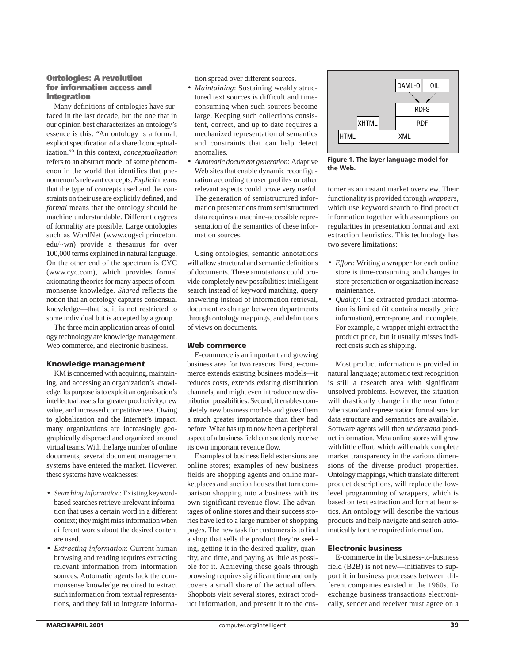#### **Ontologies: A revolution for information access and integration**

Many definitions of ontologies have surfaced in the last decade, but the one that in our opinion best characterizes an ontology's essence is this: "An ontology is a formal, explicit specification of a shared conceptualization."5 In this context, *conceptualization* refers to an abstract model of some phenomenon in the world that identifies that phenomenon's relevant concepts. *Explicit* means that the type of concepts used and the constraints on their use are explicitly defined, and *formal* means that the ontology should be machine understandable. Different degrees of formality are possible. Large ontologies such as WordNet (www.cogsci.princeton. edu/~wn) provide a thesaurus for over 100,000 terms explained in natural language. On the other end of the spectrum is CYC (www.cyc.com), which provides formal axiomating theories for many aspects of commonsense knowledge. *Shared* reflects the notion that an ontology captures consensual knowledge—that is, it is not restricted to some individual but is accepted by a group.

The three main application areas of ontology technology are knowledge management, Web commerce, and electronic business.

#### **Knowledge management**

KM is concerned with acquiring, maintaining, and accessing an organization's knowledge. Its purpose is to exploit an organization's intellectual assets for greater productivity, new value, and increased competitiveness. Owing to globalization and the Internet's impact, many organizations are increasingly geographically dispersed and organized around virtual teams. With the large number of online documents, several document management systems have entered the market. However, these systems have weaknesses:

- *Searching information*: Existing keywordbased searches retrieve irrelevant information that uses a certain word in a different context; they might miss information when different words about the desired content are used.
- *Extracting information*: Current human browsing and reading requires extracting relevant information from information sources. Automatic agents lack the commonsense knowledge required to extract such information from textual representations, and they fail to integrate informa-

tion spread over different sources.

- *Maintaining*: Sustaining weakly structured text sources is difficult and timeconsuming when such sources become large. Keeping such collections consistent, correct, and up to date requires a mechanized representation of semantics and constraints that can help detect anomalies.
- *Automatic document generation*: Adaptive Web sites that enable dynamic reconfiguration according to user profiles or other relevant aspects could prove very useful. The generation of semistructured information presentations from semistructured data requires a machine-accessible representation of the semantics of these information sources.

Using ontologies, semantic annotations will allow structural and semantic definitions of documents. These annotations could provide completely new possibilities: intelligent search instead of keyword matching, query answering instead of information retrieval, document exchange between departments through ontology mappings, and definitions of views on documents.

#### **Web commerce**

E-commerce is an important and growing business area for two reasons. First, e-commerce extends existing business models—it reduces costs, extends existing distribution channels, and might even introduce new distribution possibilities. Second, it enables completely new business models and gives them a much greater importance than they had before. What has up to now been a peripheral aspect of a business field can suddenly receive its own important revenue flow.

Examples of business field extensions are online stores; examples of new business fields are shopping agents and online marketplaces and auction houses that turn comparison shopping into a business with its own significant revenue flow. The advantages of online stores and their success stories have led to a large number of shopping pages. The new task for customers is to find a shop that sells the product they're seeking, getting it in the desired quality, quantity, and time, and paying as little as possible for it. Achieving these goals through browsing requires significant time and only covers a small share of the actual offers. Shopbots visit several stores, extract product information, and present it to the cus-



**Figure 1. The layer language model for the Web.**

tomer as an instant market overview. Their functionality is provided through *wrappers*, which use keyword search to find product information together with assumptions on regularities in presentation format and text extraction heuristics. This technology has two severe limitations:

- *Effort*: Writing a wrapper for each online store is time-consuming, and changes in store presentation or organization increase maintenance.
- *Quality*: The extracted product information is limited (it contains mostly price information), error-prone, and incomplete. For example, a wrapper might extract the product price, but it usually misses indirect costs such as shipping.

Most product information is provided in natural language; automatic text recognition is still a research area with significant unsolved problems. However, the situation will drastically change in the near future when standard representation formalisms for data structure and semantics are available. Software agents will then *understand* product information. Meta online stores will grow with little effort, which will enable complete market transparency in the various dimensions of the diverse product properties. Ontology mappings, which translate different product descriptions, will replace the lowlevel programming of wrappers, which is based on text extraction and format heuristics. An ontology will describe the various products and help navigate and search automatically for the required information.

#### **Electronic business**

E-commerce in the business-to-business field (B2B) is not new—initiatives to support it in business processes between different companies existed in the 1960s. To exchange business transactions electronically, sender and receiver must agree on a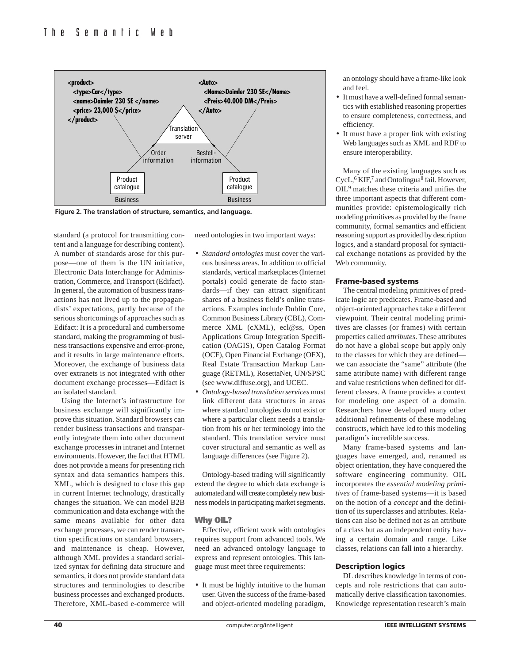

**Figure 2. The translation of structure, semantics, and language.**

standard (a protocol for transmitting content and a language for describing content). A number of standards arose for this purpose—one of them is the UN initiative, Electronic Data Interchange for Administration, Commerce, and Transport (Edifact). In general, the automation of business transactions has not lived up to the propagandists' expectations, partly because of the serious shortcomings of approaches such as Edifact: It is a procedural and cumbersome standard, making the programming of business transactions expensive and error-prone, and it results in large maintenance efforts. Moreover, the exchange of business data over extranets is not integrated with other document exchange processes—Edifact is an isolated standard.

Using the Internet's infrastructure for business exchange will significantly improve this situation. Standard browsers can render business transactions and transparently integrate them into other document exchange processes in intranet and Internet environments. However, the fact that HTML does not provide a means for presenting rich syntax and data semantics hampers this. XML, which is designed to close this gap in current Internet technology, drastically changes the situation. We can model B2B communication and data exchange with the same means available for other data exchange processes, we can render transaction specifications on standard browsers, and maintenance is cheap. However, although XML provides a standard serialized syntax for defining data structure and semantics, it does not provide standard data structures and terminologies to describe business processes and exchanged products. Therefore, XML-based e-commerce will

need ontologies in two important ways:

- *Standard ontologies* must cover the various business areas. In addition to official standards, vertical marketplaces (Internet portals) could generate de facto standards—if they can attract significant shares of a business field's online transactions. Examples include Dublin Core, Common Business Library (CBL), Commerce XML (cXML), ecl@ss, Open Applications Group Integration Specification (OAGIS), Open Catalog Format (OCF), Open Financial Exchange (OFX), Real Estate Transaction Markup Language (RETML), RosettaNet, UN/SPSC (see www.diffuse.org), and UCEC.
- *Ontology-based translation services* must link different data structures in areas where standard ontologies do not exist or where a particular client needs a translation from his or her terminology into the standard. This translation service must cover structural and semantic as well as language differences (see Figure 2).

Ontology-based trading will significantly extend the degree to which data exchange is automated and will create completely new business models in participating market segments.

#### **Why OIL?**

Effective, efficient work with ontologies requires support from advanced tools. We need an advanced ontology language to express and represent ontologies. This language must meet three requirements:

• It must be highly intuitive to the human user. Given the success of the frame-based and object-oriented modeling paradigm,

an ontology should have a frame-like look and feel.

- It must have a well-defined formal semantics with established reasoning properties to ensure completeness, correctness, and efficiency.
- It must have a proper link with existing Web languages such as XML and RDF to ensure interoperability.

Many of the existing languages such as CycL,<sup>6</sup> KIF,<sup>7</sup> and Ontolingua<sup>8</sup> fail. However, OIL9 matches these criteria and unifies the three important aspects that different communities provide: epistemologically rich modeling primitives as provided by the frame community, formal semantics and efficient reasoning support as provided by description logics, and a standard proposal for syntactical exchange notations as provided by the Web community.

#### **Frame-based systems**

The central modeling primitives of predicate logic are predicates. Frame-based and object-oriented approaches take a different viewpoint. Their central modeling primitives are classes (or frames) with certain properties called *attributes*. These attributes do not have a global scope but apply only to the classes for which they are defined we can associate the "same" attribute (the same attribute name) with different range and value restrictions when defined for different classes. A frame provides a context for modeling one aspect of a domain. Researchers have developed many other additional refinements of these modeling constructs, which have led to this modeling paradigm's incredible success.

Many frame-based systems and languages have emerged, and, renamed as object orientation, they have conquered the software engineering community. OIL incorporates the *essential modeling primitives* of frame-based systems—it is based on the notion of a *concept* and the definition of its superclasses and attributes. Relations can also be defined not as an attribute of a class but as an independent entity having a certain domain and range. Like classes, relations can fall into a hierarchy.

#### **Description logics**

DL describes knowledge in terms of concepts and role restrictions that can automatically derive classification taxonomies. Knowledge representation research's main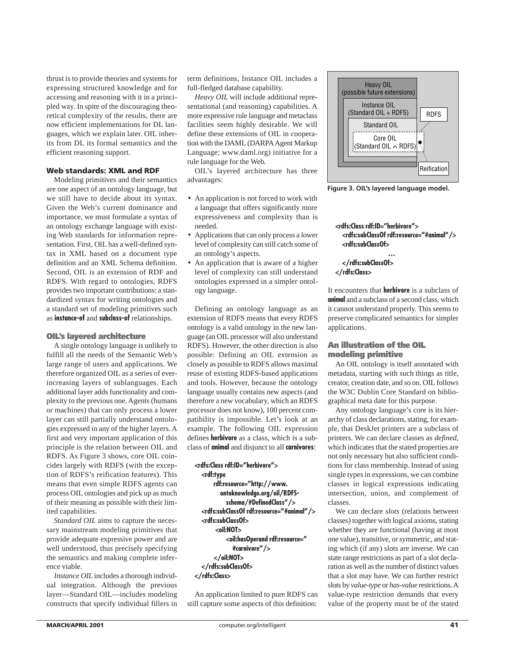thrust is to provide theories and systems for expressing structured knowledge and for accessing and reasoning with it in a principled way. In spite of the discouraging theoretical complexity of the results, there are now efficient implementations for DL languages, which we explain later. OIL inherits from DL its formal semantics and the efficient reasoning support.

#### **Web standards: XML and RDF**

Modeling primitives and their semantics are one aspect of an ontology language, but we still have to decide about its syntax. Given the Web's current dominance and importance, we must formulate a syntax of an ontology exchange language with existing Web standards for information representation. First, OIL has a well-defined syntax in XML based on a document type definition and an XML Schema definition. Second, OIL is an extension of RDF and RDFS. With regard to ontologies, RDFS provides two important contributions: a standardized syntax for writing ontologies and a standard set of modeling primitives such as **instance-of** and **subclass-of** relationships.

#### **OIL's layered architecture**

A single ontology language is unlikely to fulfill all the needs of the Semantic Web's large range of users and applications. We therefore organized OIL as a series of everincreasing layers of sublanguages. Each additional layer adds functionality and complexity to the previous one. Agents (humans or machines) that can only process a lower layer can still partially understand ontologies expressed in any of the higher layers. A first and very important application of this principle is the relation between OIL and RDFS. As Figure 3 shows, core OIL coincides largely with RDFS (with the exception of RDFS's reification features). This means that even simple RDFS agents can process OIL ontologies and pick up as much of their meaning as possible with their limited capabilities.

*Standard OIL* aims to capture the necessary mainstream modeling primitives that provide adequate expressive power and are well understood, thus precisely specifying the semantics and making complete inference viable.

*Instance OIL* includes a thorough individual integration. Although the previous layer—Standard OIL—includes modeling constructs that specify individual fillers in term definitions, Instance OIL includes a full-fledged database capability.

*Heavy OIL* will include additional representational (and reasoning) capabilities. A more expressive rule language and metaclass facilities seem highly desirable. We will define these extensions of OIL in cooperation with the DAML (DARPA Agent Markup Language; www.daml.org) initiative for a rule language for the Web.

OIL's layered architecture has three advantages:

- An application is not forced to work with a language that offers significantly more expressiveness and complexity than is needed.
- Applications that can only process a lower level of complexity can still catch some of an ontology's aspects.
- An application that is aware of a higher level of complexity can still understand ontologies expressed in a simpler ontology language.

Defining an ontology language as an extension of RDFS means that every RDFS ontology is a valid ontology in the new language (an OIL processor will also understand RDFS). However, the other direction is also possible: Defining an OIL extension as closely as possible to RDFS allows maximal reuse of existing RDFS-based applications and tools. However, because the ontology language usually contains new aspects (and therefore a new vocabulary, which an RDFS processor does not know), 100 percent compatibility is impossible. Let's look at an example. The following OIL expression defines **herbivore** as a class, which is a subclass of **animal** and disjunct to all **carnivores**:

```
<rdfs:Class rdf:ID="herbivore">
  <rdf:type 
      rdf:resource="http://www.
         ontoknowledge.org/oil/RDFS-
           schema/#DefinedClass"/>
  <rdfs:subClassOf rdf:resource="#animal"/>
  <rdfs:subClassOf>
       <oil:NOT>
           <oil:hasOperand rdf:resource="
             #carnivore"/>
       </oil:NOT>
  </rdfs:subClassOf>
</rdfs:Class>
```
An application limited to pure RDFS can still capture some aspects of this definition:



**Figure 3. OIL's layered language model.** 

#### **<rdfs:Class rdf:ID="herbivore"> <rdfs:subClassOf rdf:resource="#animal"/> <rdfs:subClassOf>**

**… </rdfs:subClassOf> </rdfs:Class>**

It encounters that **herbivore** is a subclass of **animal** and a subclass of a second class, which it cannot understand properly. This seems to preserve complicated semantics for simpler applications.

#### **An illustration of the OIL modeling primitive**

An OIL ontology is itself annotated with metadata, starting with such things as title, creator, creation date, and so on. OIL follows the W3C Dublin Core Standard on bibliographical meta date for this purpose.

Any ontology language's core is its hierarchy of class declarations, stating, for example, that DeskJet printers are a subclass of printers. We can declare classes as *defined*, which indicates that the stated properties are not only necessary but also sufficient conditions for class membership. Instead of using single types in expressions, we can combine classes in logical expressions indicating intersection, union, and complement of classes.

We can declare *slots* (relations between classes) together with logical axioms, stating whether they are functional (having at most one value), transitive, or symmetric, and stating which (if any) slots are inverse. We can state range restrictions as part of a slot declaration as well as the number of distinct values that a slot may have. We can further restrict slots by *value-type* or *has-value* restrictions. A value-type restriction demands that every value of the property must be of the stated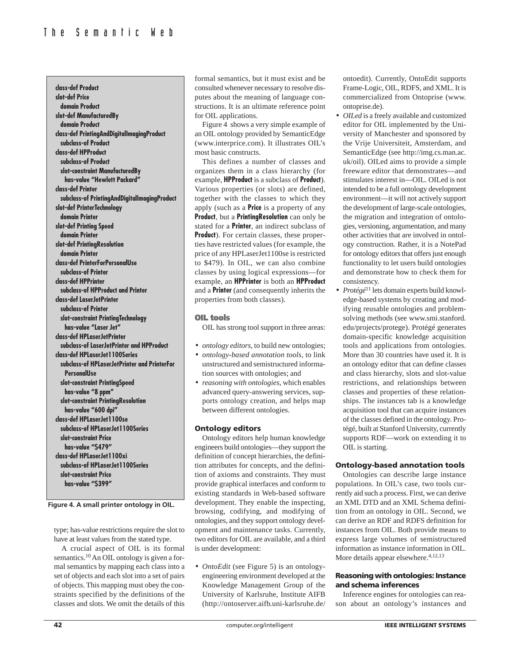**class-def Product slot-def Price domain Product slot-def ManufacturedBy domain Product class-def PrintingAndDigitalImagingProduct subclass-of Product class-def HPProduct subclass-of Product slot-constraint ManufacturedBy has-value "Hewlett Packard" class-def Printer subclass-of PrintingAndDigitalImagingProduct slot-def PrinterTechnology domain Printer slot-def Printing Speed domain Printer slot-def PrintingResolution domain Printer class-def PrinterForPersonalUse subclass-of Printer class-def HPPrinter subclass-of HPProduct and Printer class-def LaserJetPrinter subclass-of Printer slot-constraint PrintingTechnology has-value "Laser Jet" class-def HPLaserJetPrinter subclass-of LaserJetPrinter and HPProduct class-def HPLaserJet1100Series subclass-of HPLaserJetPrinter and PrinterFor PersonalUse slot-constraint PrintingSpeed has-value "8 ppm" slot-constraint PrintingResolution has-value "600 dpi" class-def HPLaserJet1100se subclass-of HPLaserJet1100Series slot-constraint Price has-value "\$479" class-def HPLaserJet1100xi subclass-of HPLaserJet1100Series slot-constraint Price has-value "\$399"**

**Figure 4. A small printer ontology in OIL.**

type; has-value restrictions require the slot to have at least values from the stated type.

A crucial aspect of OIL is its formal semantics.<sup>10</sup> An OIL ontology is given a formal semantics by mapping each class into a set of objects and each slot into a set of pairs of objects. This mapping must obey the constraints specified by the definitions of the classes and slots. We omit the details of this formal semantics, but it must exist and be consulted whenever necessary to resolve disputes about the meaning of language constructions. It is an ultimate reference point for OIL applications.

Figure 4 shows a very simple example of an OIL ontology provided by SemanticEdge (www.interprice.com). It illustrates OIL's most basic constructs.

This defines a number of classes and organizes them in a class hierarchy (for example, **HPProduct** is a subclass of **Product**). Various properties (or slots) are defined, together with the classes to which they apply (such as a **Price** is a property of any **Product**, but a **PrintingResolution** can only be stated for a **Printer**, an indirect subclass of **Product**). For certain classes, these properties have restricted values (for example, the price of any HPLaserJet1100se is restricted to \$479). In OIL, we can also combine classes by using logical expressions—for example, an **HPPrinter** is both an **HPProduct** and a **Printer** (and consequently inherits the properties from both classes).

#### **OIL tools**

OIL has strong tool support in three areas:

- *ontology editors*, to build new ontologies;
- *ontology-based annotation tools*, to link unstructured and semistructured information sources with ontologies; and
- *reasoning with ontologies*, which enables advanced query-answering services, supports ontology creation, and helps map between different ontologies.

#### **Ontology editors**

Ontology editors help human knowledge engineers build ontologies—they support the definition of concept hierarchies, the definition attributes for concepts, and the definition of axioms and constraints. They must provide graphical interfaces and conform to existing standards in Web-based software development. They enable the inspecting, browsing, codifying, and modifying of ontologies, and they support ontology development and maintenance tasks. Currently, two editors for OIL are available, and a third is under development:

• *OntoEdit* (see Figure 5) is an ontologyengineering environment developed at the Knowledge Management Group of the University of Karlsruhe, Institute AIFB (http://ontoserver.aifb.uni-karlsruhe.de/

ontoedit). Currently, OntoEdit supports Frame-Logic, OIL, RDFS, and XML. It is commercialized from Ontoprise (www. ontoprise.de).

- *OILed* is a freely available and customized editor for OIL implemented by the University of Manchester and sponsored by the Vrije Universiteit, Amsterdam, and SemanticEdge (see http://img.cs.man.ac. uk/oil). OILed aims to provide a simple freeware editor that demonstrates—and stimulates interest in—OIL. OILed is not intended to be a full ontology development environment—it will not actively support the development of large-scale ontologies, the migration and integration of ontologies, versioning, argumentation, and many other activities that are involved in ontology construction. Rather, it is a NotePad for ontology editors that offers just enough functionality to let users build ontologies and demonstrate how to check them for consistency.
- *Protégé*<sup>11</sup> lets domain experts build knowledge-based systems by creating and modifying reusable ontologies and problemsolving methods (see www.smi.stanford. edu/projects/protege). Protégé generates domain-specific knowledge acquisition tools and applications from ontologies. More than 30 countries have used it. It is an ontology editor that can define classes and class hierarchy, slots and slot-value restrictions, and relationships between classes and properties of these relationships. The instances tab is a knowledge acquisition tool that can acquire instances of the classes defined in the ontology. Protégé, built at Stanford University, currently supports RDF—work on extending it to OIL is starting.

#### **Ontology-based annotation tools**

Ontologies can describe large instance populations. In OIL's case, two tools currently aid such a process. First, we can derive an XML DTD and an XML Schema definition from an ontology in OIL. Second, we can derive an RDF and RDFS definition for instances from OIL. Both provide means to express large volumes of semistructured information as instance information in OIL. More details appear elsewhere.<sup>4,12,13</sup>

#### **Reasoning with ontologies: Instance and schema inferences**

Inference engines for ontologies can reason about an ontology's instances and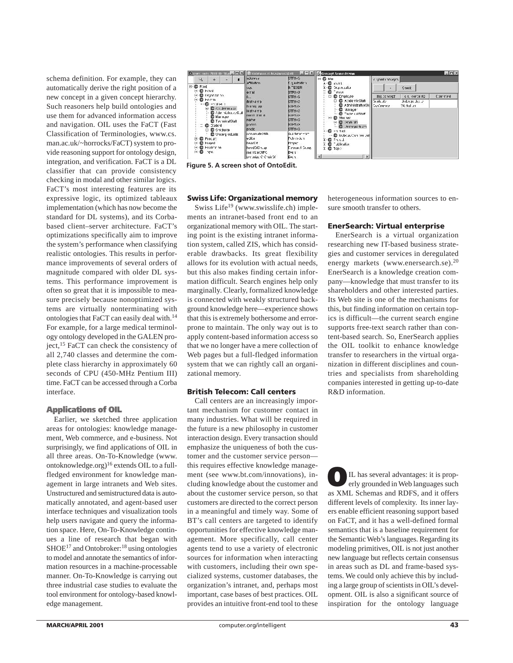schema definition. For example, they can automatically derive the right position of a new concept in a given concept hierarchy. Such reasoners help build ontologies and use them for advanced information access and navigation. OIL uses the FaCT (Fast Classification of Terminologies, www.cs. man.ac.uk/~horrocks/FaCT) system to provide reasoning support for ontology design, integration, and verification. FaCT is a DL classifier that can provide consistency checking in modal and other similar logics. FaCT's most interesting features are its expressive logic, its optimized tableaux implementation (which has now become the standard for DL systems), and its Corbabased client–server architecture. FaCT's optimizations specifically aim to improve the system's performance when classifying realistic ontologies. This results in performance improvements of several orders of magnitude compared with older DL systems. This performance improvement is often so great that it is impossible to measure precisely because nonoptimized systems are virtually nonterminating with ontologies that FaCT can easily deal with.14 For example, for a large medical terminology ontology developed in the GALEN project,15 FaCT can check the consistency of all 2,740 classes and determine the complete class hierarchy in approximately 60 seconds of CPU (450-MHz Pentium III) time. FaCT can be accessed through a Corba interface.

#### **Applications of OIL**

Earlier, we sketched three application areas for ontologies: knowledge management, Web commerce, and e-business. Not surprisingly, we find applications of OIL in all three areas. On-To-Knowledge (www. ontoknowledge.org)16 extends OIL to a fullfledged environment for knowledge management in large intranets and Web sites. Unstructured and semistructured data is automatically annotated, and agent-based user interface techniques and visualization tools help users navigate and query the information space. Here, On-To-Knowledge continues a line of research that began with SHOE<sup>17</sup> and Ontobroker:<sup>18</sup> using ontologies to model and annotate the semantics of information resources in a machine-processable manner. On-To-Knowledge is carrying out three industrial case studies to evaluate the tool environment for ontology-based knowledge management.



**Figure 5. A screen shot of OntoEdit.**

#### **Swiss Life: Organizational memory**

Swiss Life<sup>19</sup> (www.swisslife.ch) implements an intranet-based front end to an organizational memory with OIL. The starting point is the existing intranet information system, called ZIS, which has considerable drawbacks. Its great flexibility allows for its evolution with actual needs, but this also makes finding certain information difficult. Search engines help only marginally. Clearly, formalized knowledge is connected with weakly structured background knowledge here—experience shows that this is extremely bothersome and errorprone to maintain. The only way out is to apply content-based information access so that we no longer have a mere collection of Web pages but a full-fledged information system that we can rightly call an organizational memory.

#### **British Telecom: Call centers**

Call centers are an increasingly important mechanism for customer contact in many industries. What will be required in the future is a new philosophy in customer interaction design. Every transaction should emphasize the uniqueness of both the customer and the customer service person this requires effective knowledge management (see www.bt.com/innovations), including knowledge about the customer and about the customer service person, so that customers are directed to the correct person in a meaningful and timely way. Some of BT's call centers are targeted to identify opportunities for effective knowledge management. More specifically, call center agents tend to use a variety of electronic sources for information when interacting with customers, including their own specialized systems, customer databases, the organization's intranet, and, perhaps most important, case bases of best practices. OIL provides an intuitive front-end tool to these

heterogeneous information sources to ensure smooth transfer to others.

#### **EnerSearch: Virtual enterprise**

EnerSearch is a virtual organization researching new IT-based business strategies and customer services in deregulated energy markets (www.enersearch.se).<sup>20</sup> EnerSearch is a knowledge creation company—knowledge that must transfer to its shareholders and other interested parties. Its Web site is one of the mechanisms for this, but finding information on certain topics is difficult—the current search engine supports free-text search rather than content-based search. So, EnerSearch applies the OIL toolkit to enhance knowledge transfer to researchers in the virtual organization in different disciplines and countries and specialists from shareholding companies interested in getting up-to-date R&D information.

IL has several advantages: it is properly grounded in Web languages such as XML Schemas and RDFS, and it offers different levels of complexity. Its inner layers enable efficient reasoning support based on FaCT, and it has a well-defined formal semantics that is a baseline requirement for the Semantic Web's languages. Regarding its modeling primitives, OIL is not just another new language but reflects certain consensus in areas such as DL and frame-based systems. We could only achieve this by including a large group of scientists in OIL's development. OIL is also a significant source of inspiration for the ontology language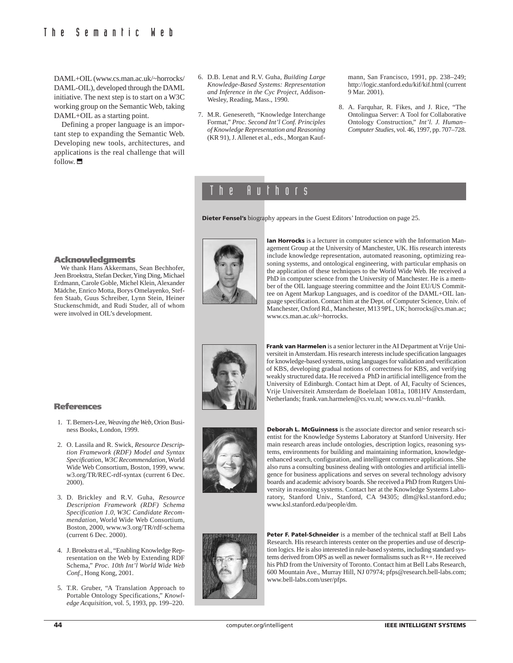DAML+OIL (www.cs.man.ac.uk/~horrocks/ DAML-OIL), developed through the DAML initiative. The next step is to start on a W3C working group on the Semantic Web, taking DAML+OIL as a starting point.

Defining a proper language is an important step to expanding the Semantic Web. Developing new tools, architectures, and applications is the real challenge that will follow.  $\blacksquare$ 

- 6. D.B. Lenat and R.V. Guha, *Building Large Knowledge-Based Systems: Representation and Inference in the Cyc Project*, Addison-Wesley, Reading, Mass., 1990.
- 7. M.R. Genesereth, "Knowledge Interchange Format," *Proc. Second Int'l Conf. Principles of Knowledge Representation and Reasoning* (KR 91), J. Allenet et al., eds., Morgan Kauf-

mann, San Francisco, 1991, pp. 238–249; http://logic.stanford.edu/kif/kif.html (current 9 Mar. 2001).

8. A. Farquhar, R. Fikes, and J. Rice, "The Ontolingua Server: A Tool for Collaborative Ontology Construction," *Int'l. J. Human– Computer Studies*, vol. 46, 1997, pp. 707–728.

# he Authors

**Dieter Fensel's** biography appears in the Guest Editors' Introduction on page 25.

#### **Acknowledgments**

We thank Hans Akkermans, Sean Bechhofer, Jeen Broekstra, Stefan Decker,Ying Ding, Michael Erdmann, Carole Goble, Michel Klein, Alexander Mädche, Enrico Motta, Borys Omelayenko, Steffen Staab, Guus Schreiber, Lynn Stein, Heiner Stuckenschmidt, and Rudi Studer, all of whom were involved in OIL's development.

**Ian Horrocks** is a lecturer in computer science with the Information Management Group at the University of Manchester, UK. His research interests include knowledge representation, automated reasoning, optimizing reasoning systems, and ontological engineering, with particular emphasis on the application of these techniques to the World Wide Web. He received a PhD in computer science from the University of Manchester. He is a member of the OIL language steering committee and the Joint EU/US Committee on Agent Markup Languages, and is coeditor of the DAML+OIL language specification. Contact him at the Dept. of Computer Science, Univ. of Manchester, Oxford Rd., Manchester, M13 9PL, UK; horrocks@cs.man.ac; www.cs.man.ac.uk/~horrocks.



**Frank van Harmelen** is a senior lecturer in the AI Department at Vrije Universiteit in Amsterdam. His research interests include specification languages for knowledge-based systems, using languages for validation and verification of KBS, developing gradual notions of correctness for KBS, and verifying weakly structured data. He received a PhD in artificial intelligence from the University of Edinburgh. Contact him at Dept. of AI, Faculty of Sciences, Vrije Universiteit Amsterdam de Boelelaan 1081a, 1081HV Amsterdam, Netherlands; frank.van.harmelen@cs.vu.nl; www.cs.vu.nl/~frankh.

#### **References**

- 1. T. Berners-Lee, *Weaving the Web*, Orion Business Books, London, 1999.
- 2. O. Lassila and R. Swick, *Resource Description Framework (RDF) Model and Syntax Specificatio*n, *W3C Recommendation*, World Wide Web Consortium, Boston, 1999, www. w3.org/TR/REC-rdf-syntax (current 6 Dec. 2000).
- 3. D. Brickley and R.V. Guha, *Resource Description Framework (RDF) Schema Specification 1.0, W3C Candidate Recommendation*, World Wide Web Consortium, Boston, 2000, www.w3.org/TR/rdf-schema (current 6 Dec. 2000).
- 4. J. Broekstra et al., "Enabling Knowledge Representation on the Web by Extending RDF Schema," *Proc. 10th Int'l World Wide Web Conf.*, Hong Kong, 2001.
- 5. T.R. Gruber, "A Translation Approach to Portable Ontology Specifications," *Knowledge Acquisition*, vol. 5, 1993, pp. 199–220.

**Deborah L. McGuinness** is the associate director and senior research scientist for the Knowledge Systems Laboratory at Stanford University. Her main research areas include ontologies, description logics, reasoning systems, environments for building and maintaining information, knowledgeenhanced search, configuration, and intelligent commerce applications. She also runs a consulting business dealing with ontologies and artificial intelligence for business applications and serves on several technology advisory boards and academic advisory boards. She received a PhD from Rutgers University in reasoning systems. Contact her at the Knowledge Systems Laboratory, Stanford Univ., Stanford, CA 94305; dlm@ksl.stanford.edu; www.ksl.stanford.edu/people/dm.



**Peter F. Patel-Schneider** is a member of the technical staff at Bell Labs Research. His research interests center on the properties and use of description logics. He is also interested in rule-based systems, including standard systems derived from OPS as well as newer formalisms such as R++. He received his PhD from the University of Toronto. Contact him at Bell Labs Research, 600 Mountain Ave., Murray Hill, NJ 07974; pfps@research.bell-labs.com; www.bell-labs.com/user/pfps.